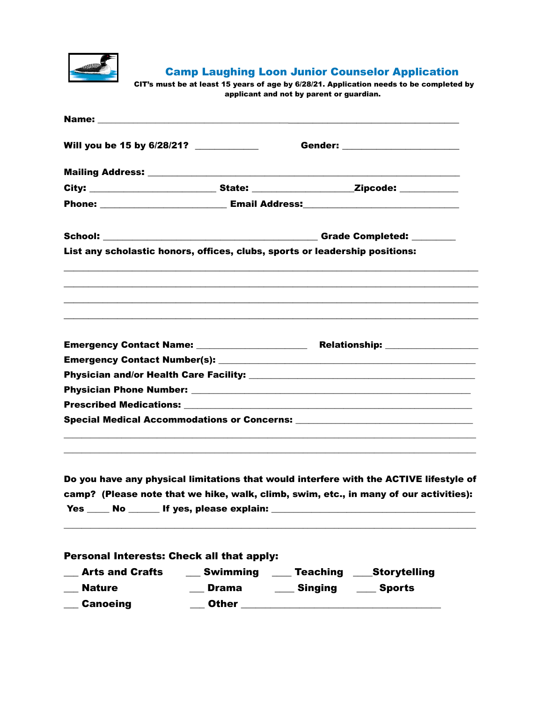

Camp Laughing Loon Junior Counselor Application

CIT's must be at least 15 years of age by 6/28/21. Application needs to be completed by applicant and not by parent or guardian.

| Will you be 15 by 6/28/21?                                                                                      |                                   | Gender: ______________________ |                                                                                                                                                                                                        |  |
|-----------------------------------------------------------------------------------------------------------------|-----------------------------------|--------------------------------|--------------------------------------------------------------------------------------------------------------------------------------------------------------------------------------------------------|--|
|                                                                                                                 |                                   |                                |                                                                                                                                                                                                        |  |
| City: _______________________________State: ________________________Zipcode: ___________                        |                                   |                                |                                                                                                                                                                                                        |  |
|                                                                                                                 |                                   |                                |                                                                                                                                                                                                        |  |
|                                                                                                                 |                                   |                                |                                                                                                                                                                                                        |  |
| List any scholastic honors, offices, clubs, sports or leadership positions:                                     |                                   |                                |                                                                                                                                                                                                        |  |
|                                                                                                                 |                                   |                                | ,我们也不会有什么。""我们的人,我们也不会有什么?""我们的人,我们也不会有什么?""我们的人,我们也不会有什么?""我们的人,我们也不会有什么?""我们的人<br><u> 1989 - Jan James James James James James James James James James James James James James James James James</u> |  |
| Emergency Contact Name: _____________________                                                                   |                                   |                                | Relationship: _________________                                                                                                                                                                        |  |
|                                                                                                                 |                                   |                                |                                                                                                                                                                                                        |  |
|                                                                                                                 |                                   |                                |                                                                                                                                                                                                        |  |
|                                                                                                                 |                                   |                                |                                                                                                                                                                                                        |  |
|                                                                                                                 |                                   |                                |                                                                                                                                                                                                        |  |
|                                                                                                                 |                                   |                                |                                                                                                                                                                                                        |  |
| Yes $\_\_\_\_\$                                                                                                 | No ______ If yes, please explain: |                                | Do you have any physical limitations that would interfere with the ACTIVE lifestyle of<br>camp? (Please note that we hike, walk, climb, swim, etc., in many of our activities):                        |  |
| Personal Interests: Check all that apply:<br>__ Arts and Crafts   ___ Swimming   ___ Teaching  ____Storytelling |                                   |                                |                                                                                                                                                                                                        |  |

\_\_\_ Nature \_\_\_ Drama \_\_\_\_ Singing \_\_\_\_ Sports

\_\_\_ Canoeing \_\_\_ Other \_\_\_\_\_\_\_\_\_\_\_\_\_\_\_\_\_\_\_\_\_\_\_\_\_\_\_\_\_\_\_\_\_\_\_\_\_\_\_\_\_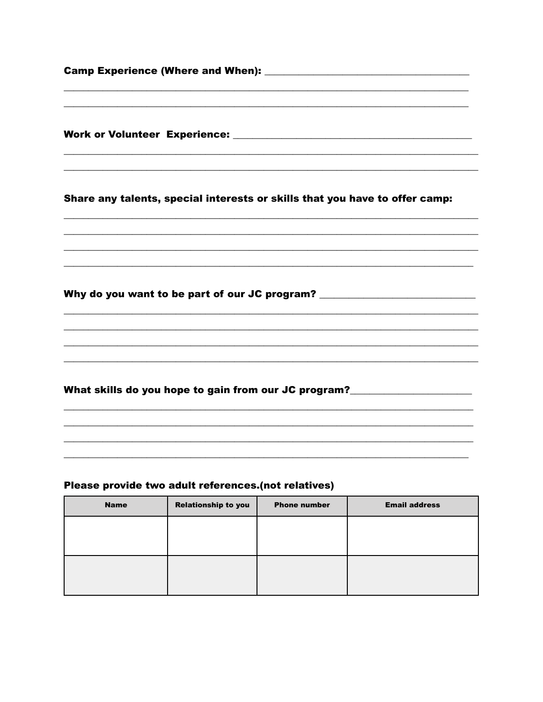| Share any talents, special interests or skills that you have to offer camp:                                                                     |  |  |
|-------------------------------------------------------------------------------------------------------------------------------------------------|--|--|
| <u> 1989 - Johann Stoff, amerikansk politiker (d. 1989)</u><br>Why do you want to be part of our JC program? __________________________________ |  |  |
| What skills do you hope to gain from our JC program?____________________________                                                                |  |  |
|                                                                                                                                                 |  |  |

## Please provide two adult references.(not relatives)

| <b>Name</b> | <b>Relationship to you</b> | <b>Phone number</b> | <b>Email address</b> |
|-------------|----------------------------|---------------------|----------------------|
|             |                            |                     |                      |
|             |                            |                     |                      |
|             |                            |                     |                      |
|             |                            |                     |                      |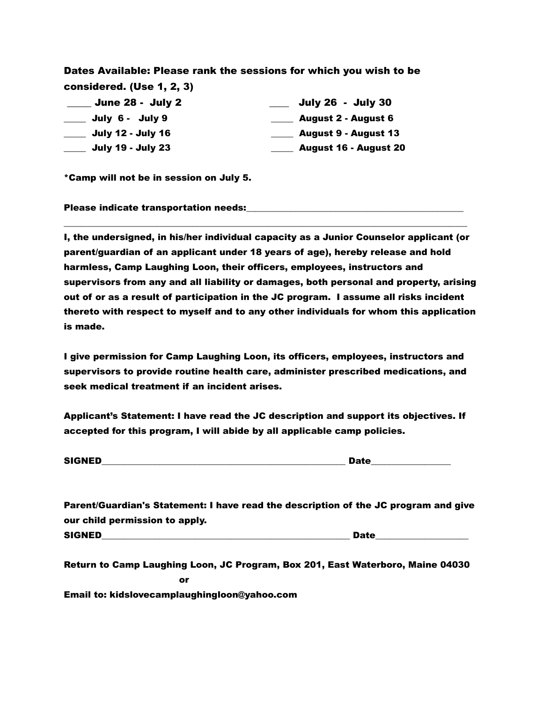Dates Available: Please rank the sessions for which you wish to be considered. (Use 1, 2, 3)

| <b>June 28 - July 2</b>  | <b>July 26 - July 30</b>     |
|--------------------------|------------------------------|
| July 6 - July 9          | <b>August 2 - August 6</b>   |
| <b>July 12 - July 16</b> | <b>August 9 - August 13</b>  |
| <b>July 19 - July 23</b> | <b>August 16 - August 20</b> |

\*Camp will not be in session on July 5.

Please indicate transportation needs:

I, the undersigned, in his/her individual capacity as a Junior Counselor applicant (or parent/guardian of an applicant under 18 years of age), hereby release and hold harmless, Camp Laughing Loon, their officers, employees, instructors and supervisors from any and all liability or damages, both personal and property, arising out of or as a result of participation in the JC program. I assume all risks incident thereto with respect to myself and to any other individuals for whom this application is made.

\_\_\_\_\_\_\_\_\_\_\_\_\_\_\_\_\_\_\_\_\_\_\_\_\_\_\_\_\_\_\_\_\_\_\_\_\_\_\_\_\_\_\_\_\_\_\_\_\_\_\_\_\_\_\_\_\_\_\_\_\_\_\_\_\_\_\_\_\_\_\_\_\_\_\_\_\_\_\_\_\_\_\_\_\_\_\_\_\_\_\_

I give permission for Camp Laughing Loon, its officers, employees, instructors and supervisors to provide routine health care, administer prescribed medications, and seek medical treatment if an incident arises.

Applicant's Statement: I have read the JC description and support its objectives. If accepted for this program, I will abide by all applicable camp policies.

| <b>SIGNED</b> |  |
|---------------|--|
|               |  |

Parent/Guardian's Statement: I have read the description of the JC program and give our child permission to apply.

SIGNED\_\_\_\_\_\_\_\_\_\_\_\_\_\_\_\_\_\_\_\_\_\_\_\_\_\_\_\_\_\_\_\_\_\_\_\_\_\_\_\_\_\_\_\_\_\_\_\_\_\_\_\_\_\_\_\_ Date\_\_\_\_\_\_\_\_\_\_\_\_\_\_\_\_\_\_\_\_\_

Return to Camp Laughing Loon, JC Program, Box 201, East Waterboro, Maine 04030 **or** *contract of the state of the state of the state of the state of the state of the state of the state of the state of the state of the state of the state of the state of the state of the state of the state of the stat* Email to: kidslovecamplaughingloon@yahoo.com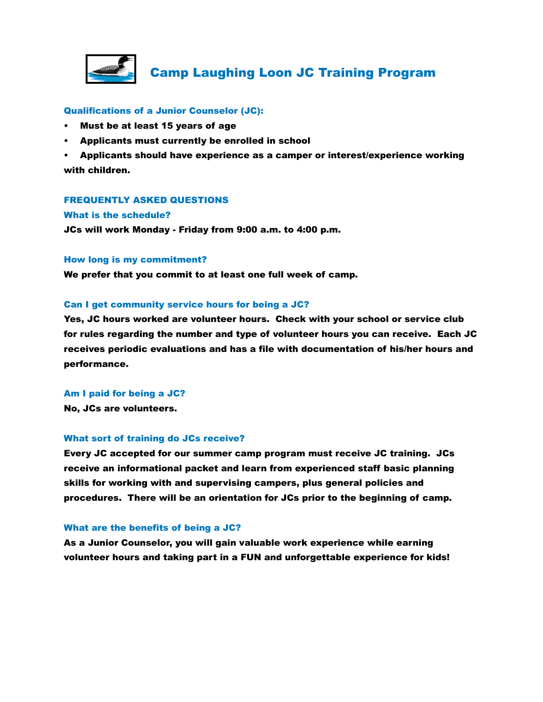

# Camp Laughing Loon JC Training Program

### Qualifications of a Junior Counselor (JC):

- Must be at least 15 years of age
- Applicants must currently be enrolled in school

• Applicants should have experience as a camper or interest/experience working with children.

### FREQUENTLY ASKED QUESTIONS

#### What is the schedule?

JCs will work Monday - Friday from 9:00 a.m. to 4:00 p.m.

#### How long is my commitment?

We prefer that you commit to at least one full week of camp.

### Can I get community service hours for being a JC?

Yes, JC hours worked are volunteer hours. Check with your school or service club for rules regarding the number and type of volunteer hours you can receive. Each JC receives periodic evaluations and has a file with documentation of his/her hours and performance.

# Am I paid for being a JC?

No, JCs are volunteers.

### What sort of training do JCs receive?

Every JC accepted for our summer camp program must receive JC training. JCs receive an informational packet and learn from experienced staff basic planning skills for working with and supervising campers, plus general policies and procedures. There will be an orientation for JCs prior to the beginning of camp.

### What are the benefits of being a JC?

As a Junior Counselor, you will gain valuable work experience while earning volunteer hours and taking part in a FUN and unforgettable experience for kids!